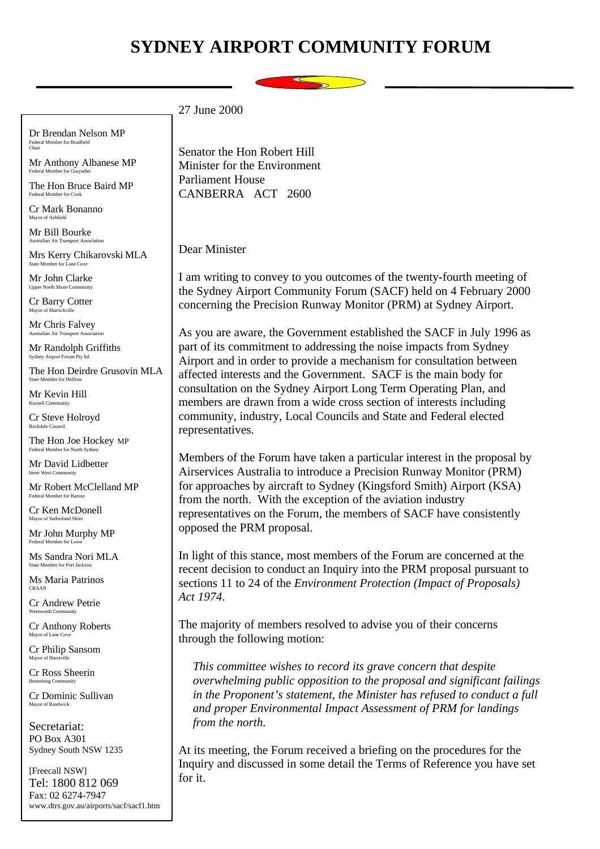## **SYDNEY AIRPORT COMMUNITY FORUM**



Dr Brendan Nelson MP Federal Member for Bradfield Chair

Mr Anthony Albanese MP Federal Member for Grayndler

The Hon Bruce Baird MP Federal Member for Cook

Cr Mark Bonanno Mayor of Ashfield

Mr Bill Bourke Australian Air Transport Association

Mrs Kerry Chikarovski MLA State Member for Lane Cove

Mr John Clarke Upper North Shore Community

Cr Barry Cotter Mayor of Marrickville

Mr Chris Falvey Australian Air Transport Ass

Mr Randolph Griffiths Sydney Airport Forum Pty ltd

The Hon Deirdre Grusovin MLA State Member for Heffron

Mr Kevin Hill Kurnell Community

Cr Steve Holroyd Rockdale Council

The Hon Joe Hockey MP Federal Member for North Sydney

Mr David Lidbetter Inner West Community

Mr Robert McClelland MP Federal Member for Barton

Cr Ken McDonell Mayor of Sutherland Shire

Mr John Murphy MP Federal Member for Lowe

Ms Sandra Nori MLA State Member for Port Jacks

Ms Maria Patrinos CRAAN

Cr Andrew Petrie Wentworth Community

Cr Anthony Roberts Mayor of Lane Cove

Cr Philip Sansom Mayor of Hurst

Cr Ross Sheerin Bennelong Com

Cr Dominic Sullivan Mayor of Randwick

Secretariat: PO Box A301 Sydney South NSW 1235

[Freecall NSW] Tel: 1800 812 069 Fax: 02 6274-7947 www.dtrs.gov.au/airports/sacf/sacf1.htm Senator the Hon Robert Hill Minister for the Environment Parliament House CANBERRA ACT 2600

Dear Minister

27 June 2000

I am writing to convey to you outcomes of the twenty-fourth meeting of the Sydney Airport Community Forum (SACF) held on 4 February 2000 concerning the Precision Runway Monitor (PRM) at Sydney Airport.

As you are aware, the Government established the SACF in July 1996 as part of its commitment to addressing the noise impacts from Sydney Airport and in order to provide a mechanism for consultation between affected interests and the Government. SACF is the main body for consultation on the Sydney Airport Long Term Operating Plan, and members are drawn from a wide cross section of interests including community, industry, Local Councils and State and Federal elected representatives.

Members of the Forum have taken a particular interest in the proposal by Airservices Australia to introduce a Precision Runway Monitor (PRM) for approaches by aircraft to Sydney (Kingsford Smith) Airport (KSA) from the north. With the exception of the aviation industry representatives on the Forum, the members of SACF have consistently opposed the PRM proposal.

In light of this stance, most members of the Forum are concerned at the recent decision to conduct an Inquiry into the PRM proposal pursuant to sections 11 to 24 of the *Environment Protection (Impact of Proposals) Act 1974*.

The majority of members resolved to advise you of their concerns through the following motion:

*This committee wishes to record its grave concern that despite overwhelming public opposition to the proposal and significant failings in the Proponent's statement, the Minister has refused to conduct a full and proper Environmental Impact Assessment of PRM for landings from the north.*

At its meeting, the Forum received a briefing on the procedures for the Inquiry and discussed in some detail the Terms of Reference you have set for it.